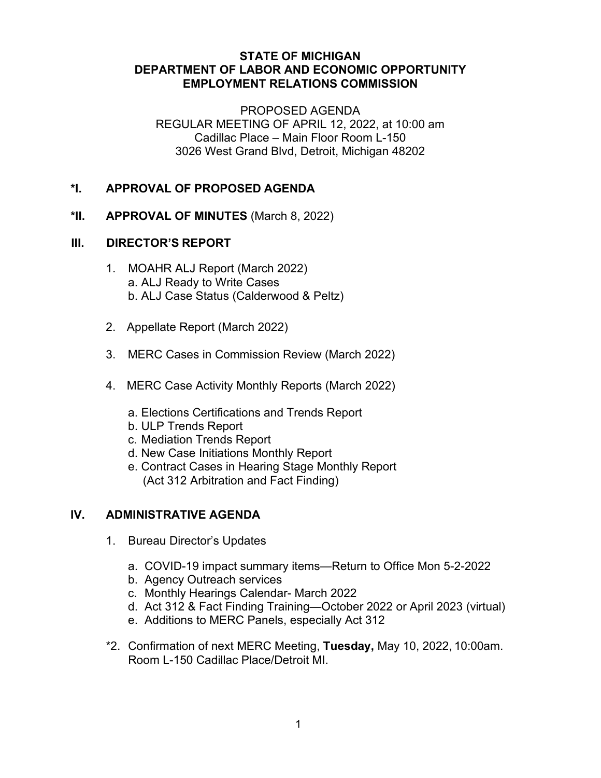### **STATE OF MICHIGAN DEPARTMENT OF LABOR AND ECONOMIC OPPORTUNITY EMPLOYMENT RELATIONS COMMISSION**

PROPOSED AGENDA REGULAR MEETING OF APRIL 12, 2022, at 10:00 am Cadillac Place – Main Floor Room L-150 3026 West Grand Blvd, Detroit, Michigan 48202

# **\*I. APPROVAL OF PROPOSED AGENDA**

### **\*II. APPROVAL OF MINUTES** (March 8, 2022)

#### **III. DIRECTOR'S REPORT**

- 1. MOAHR ALJ Report (March 2022) a. ALJ Ready to Write Cases b. ALJ Case Status (Calderwood & Peltz)
- 2. Appellate Report (March 2022)
- 3. MERC Cases in Commission Review (March 2022)
- 4. MERC Case Activity Monthly Reports (March 2022)
	- a. Elections Certifications and Trends Report
	- b. ULP Trends Report
	- c. Mediation Trends Report
	- d. New Case Initiations Monthly Report
	- e. Contract Cases in Hearing Stage Monthly Report (Act 312 Arbitration and Fact Finding)

## **IV. ADMINISTRATIVE AGENDA**

- 1. Bureau Director's Updates
	- a. COVID-19 impact summary items—Return to Office Mon 5-2-2022
	- b. Agency Outreach services
	- c. Monthly Hearings Calendar- March 2022
	- d. Act 312 & Fact Finding Training—October 2022 or April 2023 (virtual)
	- e. Additions to MERC Panels, especially Act 312
- \*2. Confirmation of next MERC Meeting, **Tuesday,** May 10, 2022, 10:00am. Room L-150 Cadillac Place/Detroit MI.